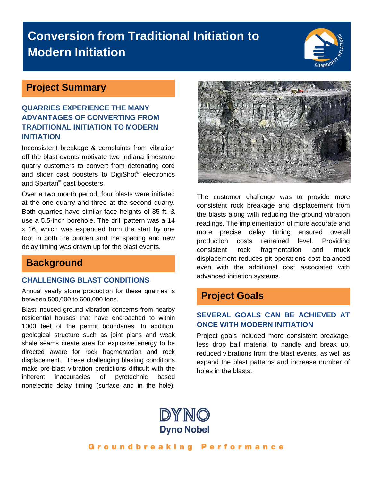# **Conversion from Traditional Initiation to Modern Initiation**



## **Project Summary**

#### **QUARRIES EXPERIENCE THE MANY ADVANTAGES OF CONVERTING FROM TRADITIONAL INITIATION TO MODERN INITIATION**

Inconsistent breakage & complaints from vibration off the blast events motivate two Indiana limestone quarry customers to convert from detonating cord and slider cast boosters to DigiShot® electronics and Spartan® cast boosters.

Over a two month period, four blasts were initiated at the one quarry and three at the second quarry. Both quarries have similar face heights of 85 ft. & use a 5.5-inch borehole. The drill pattern was a 14 x 16, which was expanded from the start by one foot in both the burden and the spacing and new delay timing was drawn up for the blast events.

### **Background**

#### **CHALLENGING BLAST CONDITIONS**

Annual yearly stone production for these quarries is between 500,000 to 600,000 tons.

Blast induced ground vibration concerns from nearby residential houses that have encroached to within 1000 feet of the permit boundaries. In addition, geological structure such as joint plans and weak shale seams create area for explosive energy to be directed aware for rock fragmentation and rock displacement. These challenging blasting conditions make pre-blast vibration predictions difficult with the inherent inaccuracies of pyrotechnic based nonelectric delay timing (surface and in the hole).



The customer challenge was to provide more consistent rock breakage and displacement from the blasts along with reducing the ground vibration readings. The implementation of more accurate and more precise delay timing ensured overall production costs remained level. Providing consistent rock fragmentation and muck displacement reduces pit operations cost balanced even with the additional cost associated with advanced initiation systems.

## **Project Goals**

#### **SEVERAL GOALS CAN BE ACHIEVED AT ONCE WITH MODERN INITIATION**

Project goals included more consistent breakage, less drop ball material to handle and break up, reduced vibrations from the blast events, as well as expand the blast patterns and increase number of holes in the blasts.